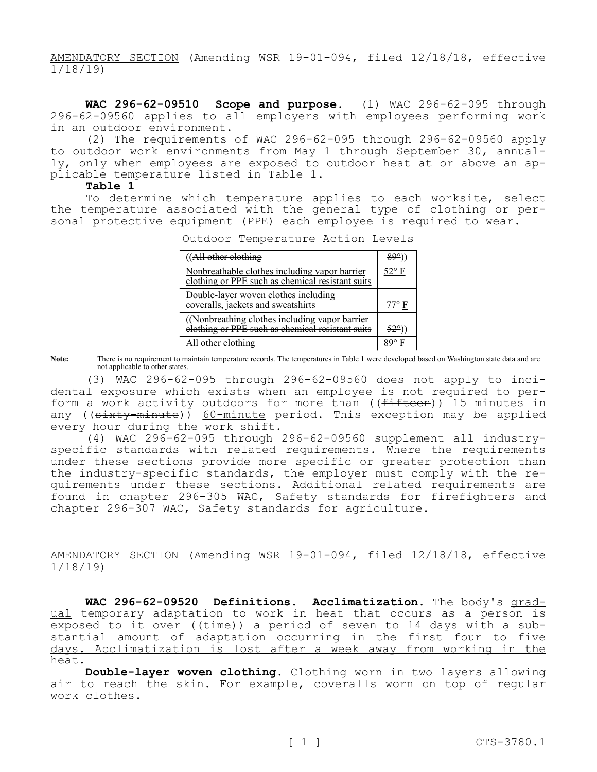AMENDATORY SECTION (Amending WSR 19-01-094, filed 12/18/18, effective 1/18/19)

**WAC 296-62-09510 Scope and purpose.** (1) WAC 296-62-095 through 296-62-09560 applies to all employers with employees performing work in an outdoor environment.

(2) The requirements of WAC 296-62-095 through 296-62-09560 apply to outdoor work environments from May 1 through September 30, annually, only when employees are exposed to outdoor heat at or above an applicable temperature listed in Table 1.

## **Table 1**

To determine which temperature applies to each worksite, select the temperature associated with the general type of clothing or personal protective equipment (PPE) each employee is required to wear.

 $((All other clothing$  89°)

Outdoor Temperature Action Levels

| ((All other clothing                                                                               | 89°)           |
|----------------------------------------------------------------------------------------------------|----------------|
| Nonbreathable clothes including vapor barrier<br>clothing or PPE such as chemical resistant suits  | $52^{\circ}$ F |
| Double-layer woven clothes including<br>coveralls, jackets and sweatshirts                         | $77^{\circ}$ F |
| ((Nonbreathing clothes including vapor barrier<br>elothing or PPE such as chemical resistant suits | 52°)           |
| All other clothing                                                                                 |                |

**Note:** There is no requirement to maintain temperature records. The temperatures in Table 1 were developed based on Washington state data and are not applicable to other states.

(3) WAC 296-62-095 through 296-62-09560 does not apply to incidental exposure which exists when an employee is not required to perform a work activity outdoors for more than ( $(f$ ifteen)) 15 minutes in any ((sixty-minute)) 60-minute period. This exception may be applied every hour during the work shift.

(4) WAC 296-62-095 through 296-62-09560 supplement all industryspecific standards with related requirements. Where the requirements under these sections provide more specific or greater protection than the industry-specific standards, the employer must comply with the requirements under these sections. Additional related requirements are found in chapter 296-305 WAC, Safety standards for firefighters and chapter 296-307 WAC, Safety standards for agriculture.

AMENDATORY SECTION (Amending WSR 19-01-094, filed 12/18/18, effective 1/18/19)

**WAC 296-62-09520 Definitions. Acclimatization.** The body's gradual temporary adaptation to work in heat that occurs as a person is exposed to it over ( $(\text{time})$ ) a period of seven to 14 days with a substantial amount of adaptation occurring in the first four to five days. Acclimatization is lost after a week away from working in the heat.

**Double-layer woven clothing.** Clothing worn in two layers allowing air to reach the skin. For example, coveralls worn on top of regular work clothes.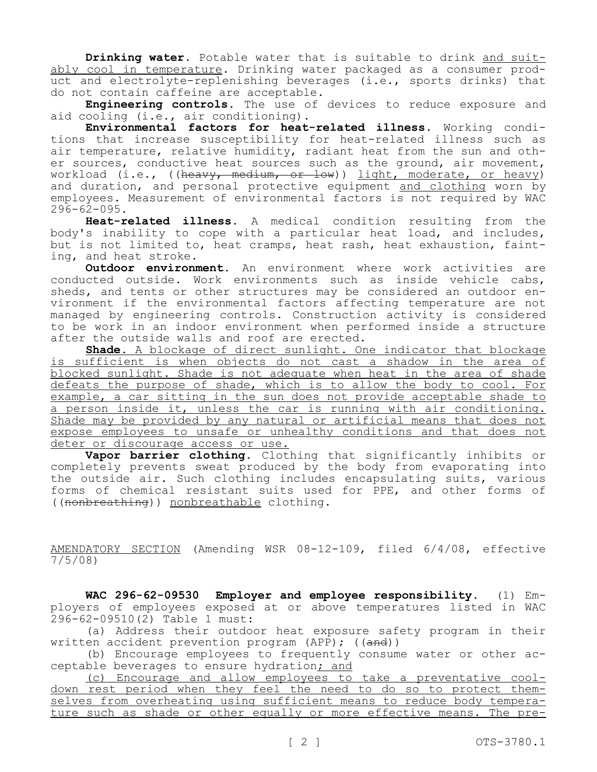**Drinking water.** Potable water that is suitable to drink and suitably cool in temperature. Drinking water packaged as a consumer product and electrolyte-replenishing beverages (i.e., sports drinks) that do not contain caffeine are acceptable.

**Engineering controls.** The use of devices to reduce exposure and aid cooling (i.e., air conditioning).

**Environmental factors for heat-related illness.** Working conditions that increase susceptibility for heat-related illness such as air temperature, relative humidity, radiant heat from the sun and other sources, conductive heat sources such as the ground, air movement, workload (i.e., ((heavy, medium, or low)) light, moderate, or heavy) and duration, and personal protective equipment and clothing worn by employees. Measurement of environmental factors is not required by WAC  $296 - 62 - 095$ .

**Heat-related illness.** A medical condition resulting from the body's inability to cope with a particular heat load, and includes, but is not limited to, heat cramps, heat rash, heat exhaustion, fainting, and heat stroke.

**Outdoor environment.** An environment where work activities are conducted outside. Work environments such as inside vehicle cabs, sheds, and tents or other structures may be considered an outdoor environment if the environmental factors affecting temperature are not managed by engineering controls. Construction activity is considered to be work in an indoor environment when performed inside a structure after the outside walls and roof are erected.

**Shade.** A blockage of direct sunlight. One indicator that blockage is sufficient is when objects do not cast a shadow in the area of blocked sunlight. Shade is not adequate when heat in the area of shade defeats the purpose of shade, which is to allow the body to cool. For example, a car sitting in the sun does not provide acceptable shade to a person inside it, unless the car is running with air conditioning. Shade may be provided by any natural or artificial means that does not expose employees to unsafe or unhealthy conditions and that does not deter or discourage access or use.

**Vapor barrier clothing.** Clothing that significantly inhibits or completely prevents sweat produced by the body from evaporating into the outside air. Such clothing includes encapsulating suits, various forms of chemical resistant suits used for PPE, and other forms of ((nonbreathing)) nonbreathable clothing.

AMENDATORY SECTION (Amending WSR 08-12-109, filed 6/4/08, effective  $\frac{1441}{7/5/08}$ 

**WAC 296-62-09530 Employer and employee responsibility.** (1) Employers of employees exposed at or above temperatures listed in WAC 296-62-09510(2) Table 1 must:

(a) Address their outdoor heat exposure safety program in their written accident prevention program (APP);  $((and))$ 

(b) Encourage employees to frequently consume water or other acceptable beverages to ensure hydration; and

(c) Encourage and allow employees to take a preventative cooldown rest period when they feel the need to do so to protect themselves from overheating using sufficient means to reduce body temperature such as shade or other equally or more effective means. The pre-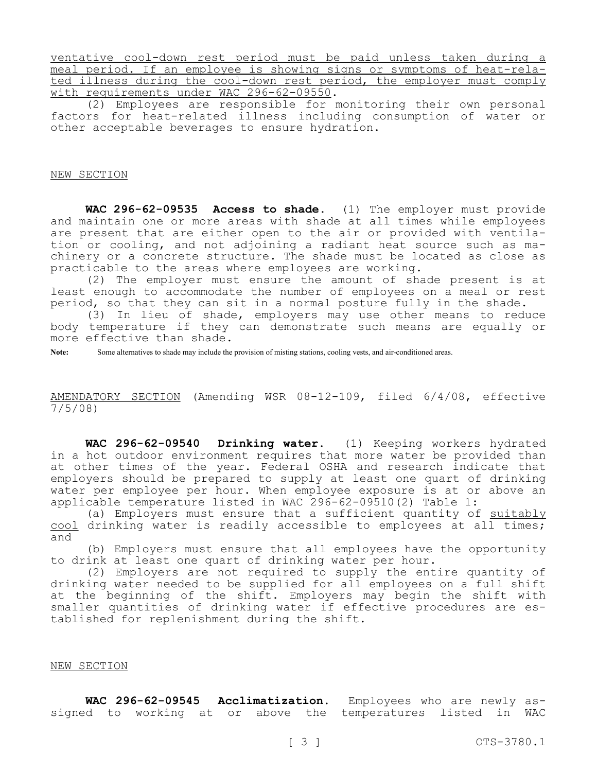ventative cool-down rest period must be paid unless taken during a meal period. If an employee is showing signs or symptoms of heat-related illness during the cool-down rest period, the employer must comply with requirements under WAC 296-62-09550.

(2) Employees are responsible for monitoring their own personal factors for heat-related illness including consumption of water or other acceptable beverages to ensure hydration.

## NEW SECTION

**WAC 296-62-09535 Access to shade.** (1) The employer must provide and maintain one or more areas with shade at all times while employees are present that are either open to the air or provided with ventilation or cooling, and not adjoining a radiant heat source such as machinery or a concrete structure. The shade must be located as close as practicable to the areas where employees are working.

(2) The employer must ensure the amount of shade present is at least enough to accommodate the number of employees on a meal or rest period, so that they can sit in a normal posture fully in the shade.

(3) In lieu of shade, employers may use other means to reduce body temperature if they can demonstrate such means are equally or more effective than shade.

**Note:** Some alternatives to shade may include the provision of misting stations, cooling vests, and air-conditioned areas.

## AMENDATORY SECTION (Amending WSR 08-12-109, filed 6/4/08, effective 7/5/08)

**WAC 296-62-09540 Drinking water.** (1) Keeping workers hydrated in a hot outdoor environment requires that more water be provided than at other times of the year. Federal OSHA and research indicate that employers should be prepared to supply at least one quart of drinking water per employee per hour. When employee exposure is at or above an applicable temperature listed in WAC 296-62-09510(2) Table 1:

(a) Employers must ensure that a sufficient quantity of suitably cool drinking water is readily accessible to employees at all times; and

(b) Employers must ensure that all employees have the opportunity to drink at least one quart of drinking water per hour.

(2) Employers are not required to supply the entire quantity of drinking water needed to be supplied for all employees on a full shift at the beginning of the shift. Employers may begin the shift with smaller quantities of drinking water if effective procedures are established for replenishment during the shift.

## NEW SECTION

**WAC 296-62-09545 Acclimatization.** Employees who are newly assigned to working at or above the temperatures listed in WAC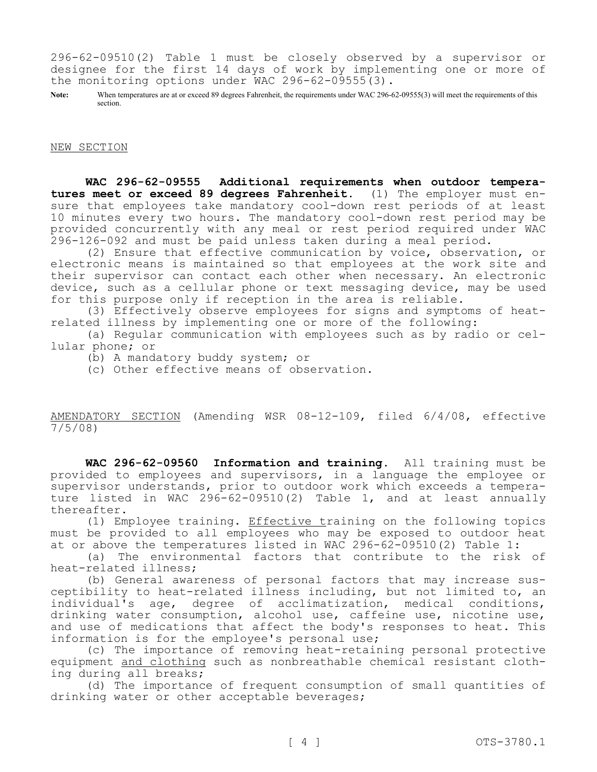296-62-09510(2) Table 1 must be closely observed by a supervisor or designee for the first 14 days of work by implementing one or more of the monitoring options under WAC 296-62-09555(3).

Note: When temperatures are at or exceed 89 degrees Fahrenheit, the requirements under WAC 296-62-09555(3) will meet the requirements of this section.

NEW SECTION

**WAC 296-62-09555 Additional requirements when outdoor temperatures meet or exceed 89 degrees Fahrenheit.** (1) The employer must ensure that employees take mandatory cool-down rest periods of at least 10 minutes every two hours. The mandatory cool-down rest period may be provided concurrently with any meal or rest period required under WAC 296-126-092 and must be paid unless taken during a meal period.

(2) Ensure that effective communication by voice, observation, or electronic means is maintained so that employees at the work site and their supervisor can contact each other when necessary. An electronic device, such as a cellular phone or text messaging device, may be used for this purpose only if reception in the area is reliable.

(3) Effectively observe employees for signs and symptoms of heatrelated illness by implementing one or more of the following:

(a) Regular communication with employees such as by radio or cellular phone; or

(b) A mandatory buddy system; or

(c) Other effective means of observation.

AMENDATORY SECTION (Amending WSR 08-12-109, filed 6/4/08, effective 7/5/08)

**WAC 296-62-09560 Information and training.** All training must be provided to employees and supervisors, in a language the employee or supervisor understands, prior to outdoor work which exceeds a temperature listed in WAC 296-62-09510(2) Table 1, and at least annually thereafter.

(1) Employee training. Effective training on the following topics must be provided to all employees who may be exposed to outdoor heat at or above the temperatures listed in WAC 296-62-09510(2) Table 1:

(a) The environmental factors that contribute to the risk of heat-related illness;

(b) General awareness of personal factors that may increase susceptibility to heat-related illness including, but not limited to, an individual's age, degree of acclimatization, medical conditions, drinking water consumption, alcohol use, caffeine use, nicotine use, and use of medications that affect the body's responses to heat. This information is for the employee's personal use;

(c) The importance of removing heat-retaining personal protective equipment and clothing such as nonbreathable chemical resistant clothing during all breaks;

(d) The importance of frequent consumption of small quantities of drinking water or other acceptable beverages;